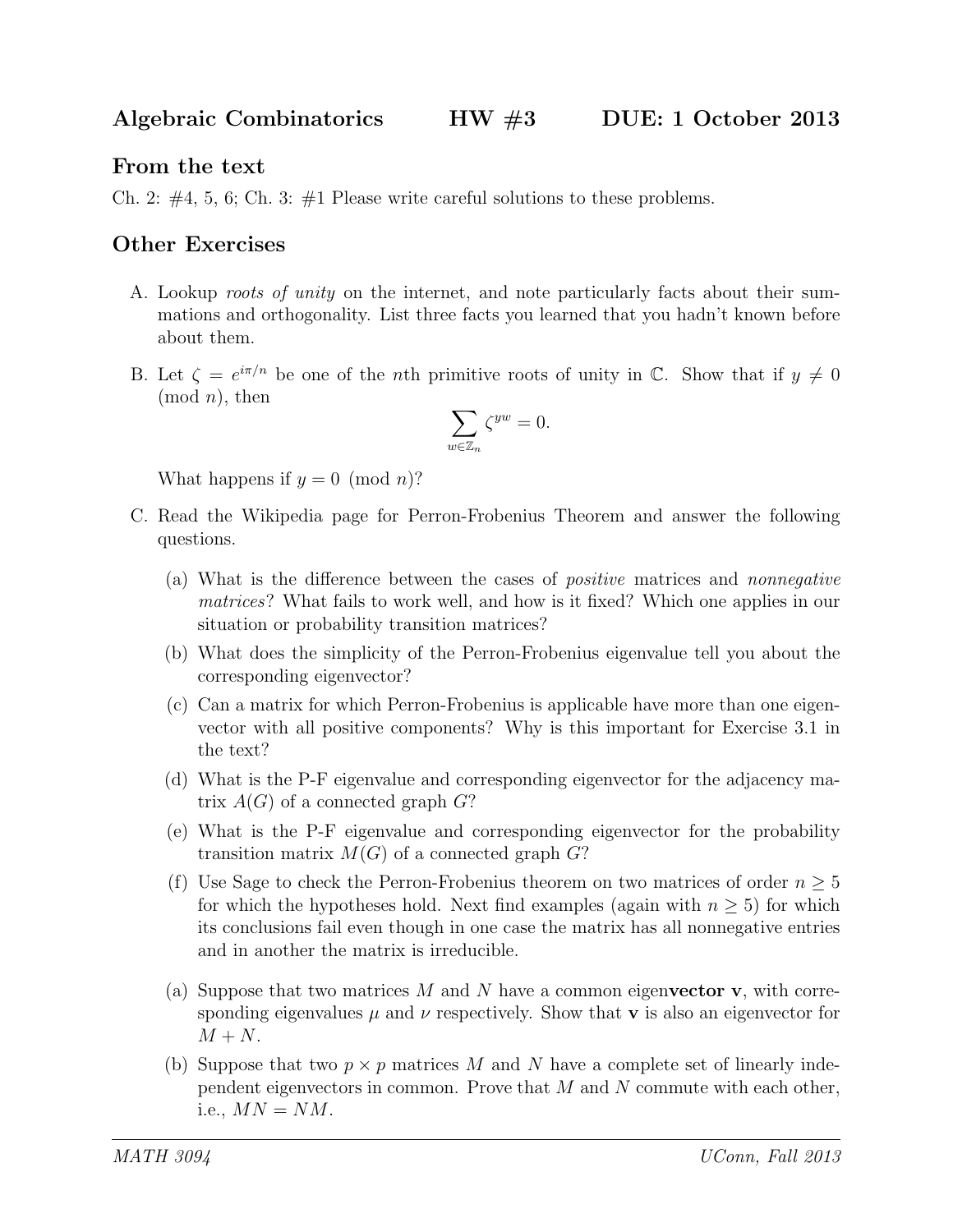## From the text

Ch. 2:  $\#4$ , 5, 6; Ch. 3:  $\#1$  Please write careful solutions to these problems.

## Other Exercises

- A. Lookup roots of unity on the internet, and note particularly facts about their summations and orthogonality. List three facts you learned that you hadn't known before about them.
- B. Let  $\zeta = e^{i\pi/n}$  be one of the *n*th primitive roots of unity in  $\mathbb{C}$ . Show that if  $y \neq 0$  $(mod n)$ , then

$$
\sum_{w \in \mathbb{Z}_n} \zeta^{yw} = 0.
$$

What happens if  $y = 0 \pmod{n}$ ?

- C. Read the Wikipedia page for Perron-Frobenius Theorem and answer the following questions.
	- (a) What is the difference between the cases of positive matrices and nonnegative matrices? What fails to work well, and how is it fixed? Which one applies in our situation or probability transition matrices?
	- (b) What does the simplicity of the Perron-Frobenius eigenvalue tell you about the corresponding eigenvector?
	- (c) Can a matrix for which Perron-Frobenius is applicable have more than one eigenvector with all positive components? Why is this important for Exercise 3.1 in the text?
	- (d) What is the P-F eigenvalue and corresponding eigenvector for the adjacency matrix  $A(G)$  of a connected graph  $G$ ?
	- (e) What is the P-F eigenvalue and corresponding eigenvector for the probability transition matrix  $M(G)$  of a connected graph  $G$ ?
	- (f) Use Sage to check the Perron-Frobenius theorem on two matrices of order  $n \geq 5$ for which the hypotheses hold. Next find examples (again with  $n \geq 5$ ) for which its conclusions fail even though in one case the matrix has all nonnegative entries and in another the matrix is irreducible.
	- (a) Suppose that two matrices  $M$  and  $N$  have a common eigenvector v, with corresponding eigenvalues  $\mu$  and  $\nu$  respectively. Show that **v** is also an eigenvector for  $M + N$ .
	- (b) Suppose that two  $p \times p$  matrices M and N have a complete set of linearly independent eigenvectors in common. Prove that  $M$  and  $N$  commute with each other, i.e.,  $MN = NM$ .